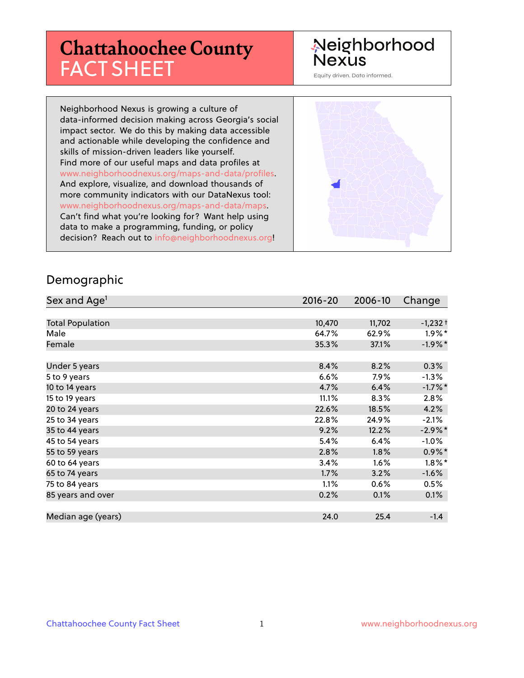# **Chattahoochee County** FACT SHEET

# Neighborhood **Nexus**

Equity driven. Data informed.

Neighborhood Nexus is growing a culture of data-informed decision making across Georgia's social impact sector. We do this by making data accessible and actionable while developing the confidence and skills of mission-driven leaders like yourself. Find more of our useful maps and data profiles at www.neighborhoodnexus.org/maps-and-data/profiles. And explore, visualize, and download thousands of more community indicators with our DataNexus tool: www.neighborhoodnexus.org/maps-and-data/maps. Can't find what you're looking for? Want help using data to make a programming, funding, or policy decision? Reach out to [info@neighborhoodnexus.org!](mailto:info@neighborhoodnexus.org)



#### Demographic

| Sex and Age <sup>1</sup> | $2016 - 20$ | 2006-10 | Change     |
|--------------------------|-------------|---------|------------|
|                          |             |         |            |
| <b>Total Population</b>  | 10,470      | 11,702  | $-1,232+$  |
| Male                     | 64.7%       | 62.9%   | $1.9\%$ *  |
| Female                   | 35.3%       | 37.1%   | $-1.9%$ *  |
|                          |             |         |            |
| Under 5 years            | 8.4%        | 8.2%    | 0.3%       |
| 5 to 9 years             | 6.6%        | 7.9%    | $-1.3\%$   |
| 10 to 14 years           | 4.7%        | 6.4%    | $-1.7\%$ * |
| 15 to 19 years           | 11.1%       | 8.3%    | 2.8%       |
| 20 to 24 years           | 22.6%       | 18.5%   | 4.2%       |
| 25 to 34 years           | 22.8%       | 24.9%   | $-2.1%$    |
| 35 to 44 years           | 9.2%        | 12.2%   | $-2.9\%$ * |
| 45 to 54 years           | 5.4%        | 6.4%    | $-1.0\%$   |
| 55 to 59 years           | 2.8%        | 1.8%    | $0.9\%$ *  |
| 60 to 64 years           | 3.4%        | 1.6%    | $1.8\%$ *  |
| 65 to 74 years           | 1.7%        | 3.2%    | $-1.6%$    |
| 75 to 84 years           | 1.1%        | 0.6%    | 0.5%       |
| 85 years and over        | 0.2%        | 0.1%    | 0.1%       |
|                          |             |         |            |
| Median age (years)       | 24.0        | 25.4    | $-1.4$     |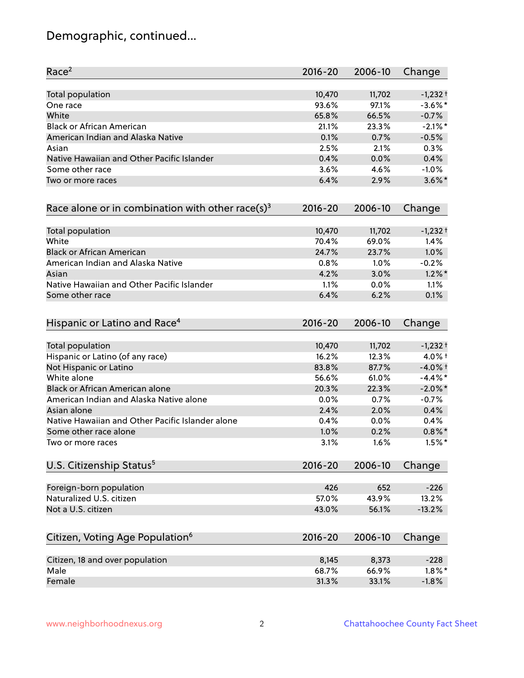# Demographic, continued...

| Race <sup>2</sup>                                   | $2016 - 20$ | 2006-10 | Change     |
|-----------------------------------------------------|-------------|---------|------------|
| <b>Total population</b>                             | 10,470      | 11,702  | $-1,232+$  |
| One race                                            | 93.6%       | 97.1%   | $-3.6\%$ * |
| White                                               | 65.8%       | 66.5%   | $-0.7%$    |
| <b>Black or African American</b>                    | 21.1%       | 23.3%   | $-2.1\%$ * |
| American Indian and Alaska Native                   | 0.1%        | 0.7%    | $-0.5%$    |
| Asian                                               | 2.5%        | 2.1%    | 0.3%       |
| Native Hawaiian and Other Pacific Islander          | 0.4%        | 0.0%    | 0.4%       |
| Some other race                                     | 3.6%        | 4.6%    | $-1.0%$    |
| Two or more races                                   | 6.4%        | 2.9%    | $3.6\%$ *  |
| Race alone or in combination with other race(s) $3$ | $2016 - 20$ | 2006-10 | Change     |
| Total population                                    | 10,470      | 11,702  | $-1,232+$  |
| White                                               | 70.4%       | 69.0%   | 1.4%       |
| <b>Black or African American</b>                    | 24.7%       | 23.7%   | 1.0%       |
| American Indian and Alaska Native                   | 0.8%        | 1.0%    | $-0.2%$    |
| Asian                                               | 4.2%        | 3.0%    | $1.2\%$ *  |
| Native Hawaiian and Other Pacific Islander          | 1.1%        | 0.0%    | 1.1%       |
| Some other race                                     | 6.4%        | 6.2%    | 0.1%       |
| Hispanic or Latino and Race <sup>4</sup>            | $2016 - 20$ | 2006-10 | Change     |
| Total population                                    | 10,470      | 11,702  | $-1,232+$  |
| Hispanic or Latino (of any race)                    | 16.2%       | 12.3%   | 4.0% +     |
| Not Hispanic or Latino                              | 83.8%       | 87.7%   | $-4.0%$ t  |
| White alone                                         | 56.6%       | 61.0%   | $-4.4\%$ * |
| Black or African American alone                     | 20.3%       | 22.3%   | $-2.0\%$ * |
| American Indian and Alaska Native alone             | 0.0%        | 0.7%    | $-0.7%$    |
| Asian alone                                         | 2.4%        | 2.0%    | 0.4%       |
| Native Hawaiian and Other Pacific Islander alone    | 0.4%        | 0.0%    | 0.4%       |
| Some other race alone                               | 1.0%        | 0.2%    | $0.8\%$ *  |
| Two or more races                                   | 3.1%        | 1.6%    | $1.5%$ *   |
| U.S. Citizenship Status <sup>5</sup>                | 2016-20     | 2006-10 | Change     |
| Foreign-born population                             | 426         | 652     | $-226$     |
| Naturalized U.S. citizen                            | 57.0%       | 43.9%   | 13.2%      |
| Not a U.S. citizen                                  | 43.0%       | 56.1%   | $-13.2%$   |
| Citizen, Voting Age Population <sup>6</sup>         | $2016 - 20$ | 2006-10 | Change     |
| Citizen, 18 and over population                     | 8,145       | 8,373   | $-228$     |
| Male                                                | 68.7%       | 66.9%   | $1.8\%$ *  |
| Female                                              | 31.3%       | 33.1%   | $-1.8%$    |
|                                                     |             |         |            |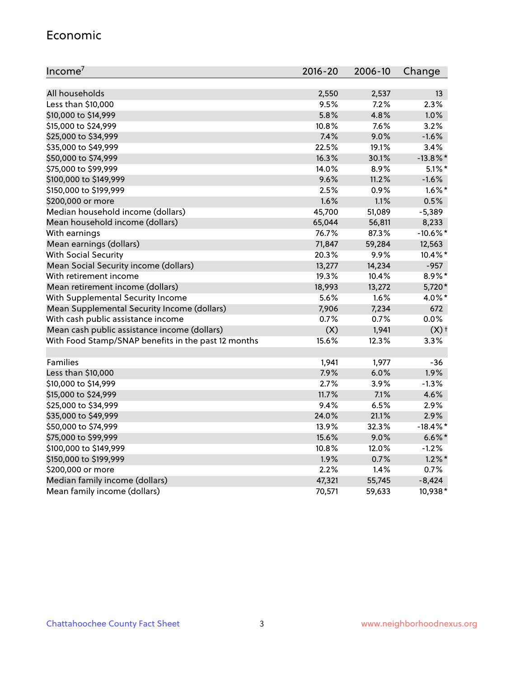#### Economic

| Income <sup>7</sup>                                 | $2016 - 20$ | 2006-10 | Change             |
|-----------------------------------------------------|-------------|---------|--------------------|
|                                                     |             |         |                    |
| All households                                      | 2,550       | 2,537   | 13                 |
| Less than \$10,000                                  | 9.5%        | 7.2%    | 2.3%               |
| \$10,000 to \$14,999                                | 5.8%        | 4.8%    | 1.0%               |
| \$15,000 to \$24,999                                | 10.8%       | 7.6%    | 3.2%               |
| \$25,000 to \$34,999                                | 7.4%        | 9.0%    | $-1.6%$            |
| \$35,000 to \$49,999                                | 22.5%       | 19.1%   | 3.4%               |
| \$50,000 to \$74,999                                | 16.3%       | 30.1%   | $-13.8\%$ *        |
| \$75,000 to \$99,999                                | 14.0%       | 8.9%    | $5.1\%$ *          |
| \$100,000 to \$149,999                              | 9.6%        | 11.2%   | $-1.6%$            |
| \$150,000 to \$199,999                              | 2.5%        | 0.9%    | $1.6\%$ *          |
| \$200,000 or more                                   | 1.6%        | 1.1%    | 0.5%               |
| Median household income (dollars)                   | 45,700      | 51,089  | $-5,389$           |
| Mean household income (dollars)                     | 65,044      | 56,811  | 8,233              |
| With earnings                                       | 76.7%       | 87.3%   | $-10.6\%$ *        |
| Mean earnings (dollars)                             | 71,847      | 59,284  | 12,563             |
| <b>With Social Security</b>                         | 20.3%       | 9.9%    | 10.4%*             |
| Mean Social Security income (dollars)               | 13,277      | 14,234  | $-957$             |
| With retirement income                              | 19.3%       | 10.4%   | 8.9%*              |
| Mean retirement income (dollars)                    | 18,993      | 13,272  | 5,720*             |
| With Supplemental Security Income                   | 5.6%        | 1.6%    | 4.0%*              |
| Mean Supplemental Security Income (dollars)         | 7,906       | 7,234   | 672                |
| With cash public assistance income                  | 0.7%        | 0.7%    | 0.0%               |
| Mean cash public assistance income (dollars)        | (X)         | 1,941   | $(X)$ <sup>+</sup> |
| With Food Stamp/SNAP benefits in the past 12 months | 15.6%       | 12.3%   | 3.3%               |
|                                                     |             |         |                    |
| Families                                            | 1,941       | 1,977   | -36                |
| Less than \$10,000                                  | 7.9%        | 6.0%    | 1.9%               |
| \$10,000 to \$14,999                                | 2.7%        | 3.9%    | $-1.3%$            |
| \$15,000 to \$24,999                                | 11.7%       | 7.1%    | 4.6%               |
| \$25,000 to \$34,999                                | 9.4%        | 6.5%    | 2.9%               |
| \$35,000 to \$49,999                                | 24.0%       | 21.1%   | 2.9%               |
| \$50,000 to \$74,999                                | 13.9%       | 32.3%   | $-18.4\%$ *        |
| \$75,000 to \$99,999                                | 15.6%       | 9.0%    | $6.6\%$ *          |
| \$100,000 to \$149,999                              | 10.8%       | 12.0%   | $-1.2%$            |
| \$150,000 to \$199,999                              | 1.9%        | 0.7%    | $1.2\%$ *          |
| \$200,000 or more                                   | 2.2%        | 1.4%    | 0.7%               |
| Median family income (dollars)                      | 47,321      | 55,745  | $-8,424$           |
| Mean family income (dollars)                        | 70,571      | 59,633  | 10,938*            |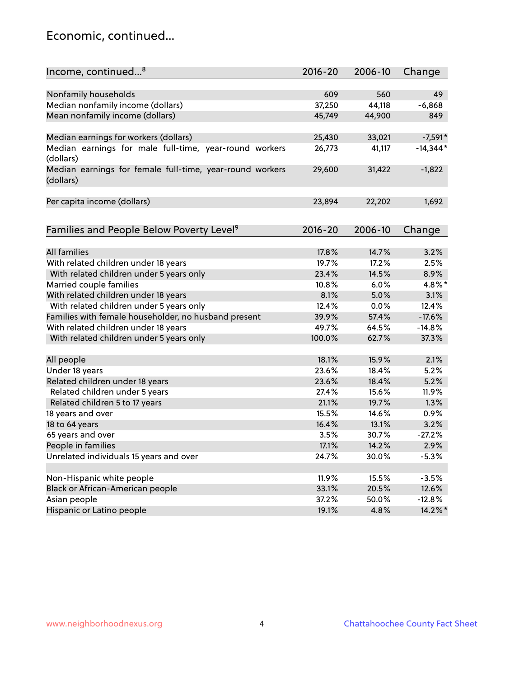### Economic, continued...

| Income, continued <sup>8</sup>                           | $2016 - 20$ | 2006-10 | Change     |
|----------------------------------------------------------|-------------|---------|------------|
|                                                          |             |         |            |
| Nonfamily households                                     | 609         | 560     | 49         |
| Median nonfamily income (dollars)                        | 37,250      | 44,118  | $-6,868$   |
| Mean nonfamily income (dollars)                          | 45,749      | 44,900  | 849        |
|                                                          |             |         |            |
| Median earnings for workers (dollars)                    | 25,430      | 33,021  | $-7,591*$  |
| Median earnings for male full-time, year-round workers   | 26,773      | 41,117  | $-14,344*$ |
| (dollars)                                                |             |         |            |
| Median earnings for female full-time, year-round workers | 29,600      | 31,422  | $-1,822$   |
| (dollars)                                                |             |         |            |
|                                                          |             |         |            |
| Per capita income (dollars)                              | 23,894      | 22,202  | 1,692      |
|                                                          |             |         |            |
| Families and People Below Poverty Level <sup>9</sup>     | $2016 - 20$ | 2006-10 | Change     |
|                                                          |             |         |            |
| <b>All families</b>                                      | 17.8%       | 14.7%   | 3.2%       |
| With related children under 18 years                     | 19.7%       | 17.2%   | 2.5%       |
| With related children under 5 years only                 | 23.4%       | 14.5%   | 8.9%       |
| Married couple families                                  | 10.8%       | 6.0%    | 4.8%*      |
| With related children under 18 years                     | 8.1%        | 5.0%    | 3.1%       |
| With related children under 5 years only                 | 12.4%       | 0.0%    | 12.4%      |
| Families with female householder, no husband present     | 39.9%       | 57.4%   | $-17.6%$   |
| With related children under 18 years                     | 49.7%       | 64.5%   | $-14.8%$   |
| With related children under 5 years only                 | 100.0%      | 62.7%   | 37.3%      |
|                                                          |             |         |            |
| All people                                               | 18.1%       | 15.9%   | 2.1%       |
| Under 18 years                                           | 23.6%       | 18.4%   | 5.2%       |
| Related children under 18 years                          | 23.6%       | 18.4%   | 5.2%       |
| Related children under 5 years                           | 27.4%       | 15.6%   | 11.9%      |
| Related children 5 to 17 years                           | 21.1%       | 19.7%   | 1.3%       |
| 18 years and over                                        | 15.5%       | 14.6%   | 0.9%       |
| 18 to 64 years                                           | 16.4%       | 13.1%   | 3.2%       |
| 65 years and over                                        | 3.5%        | 30.7%   | $-27.2%$   |
| People in families                                       | 17.1%       | 14.2%   | 2.9%       |
| Unrelated individuals 15 years and over                  | 24.7%       | 30.0%   | $-5.3%$    |
|                                                          |             |         |            |
| Non-Hispanic white people                                | 11.9%       | 15.5%   | $-3.5%$    |
| Black or African-American people                         | 33.1%       | 20.5%   | 12.6%      |
| Asian people                                             | 37.2%       | 50.0%   | $-12.8%$   |
| Hispanic or Latino people                                | 19.1%       | 4.8%    | 14.2%*     |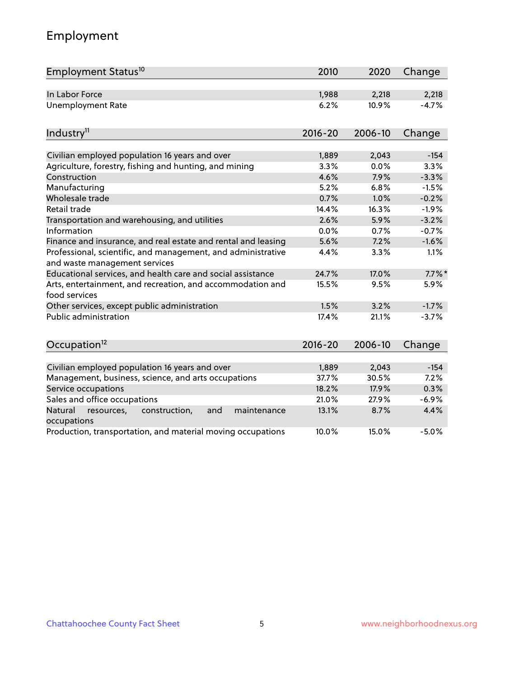# Employment

| Employment Status <sup>10</sup>                                                               | 2010        | 2020    | Change    |
|-----------------------------------------------------------------------------------------------|-------------|---------|-----------|
| In Labor Force                                                                                | 1,988       | 2,218   | 2,218     |
| <b>Unemployment Rate</b>                                                                      | 6.2%        | 10.9%   | $-4.7%$   |
| Industry <sup>11</sup>                                                                        | $2016 - 20$ | 2006-10 | Change    |
|                                                                                               |             |         |           |
| Civilian employed population 16 years and over                                                | 1,889       | 2,043   | $-154$    |
| Agriculture, forestry, fishing and hunting, and mining                                        | 3.3%        | 0.0%    | 3.3%      |
| Construction                                                                                  | 4.6%        | 7.9%    | $-3.3%$   |
| Manufacturing                                                                                 | 5.2%        | 6.8%    | $-1.5%$   |
| Wholesale trade                                                                               | 0.7%        | 1.0%    | $-0.2%$   |
| Retail trade                                                                                  | 14.4%       | 16.3%   | $-1.9%$   |
| Transportation and warehousing, and utilities                                                 | 2.6%        | 5.9%    | $-3.2%$   |
| Information                                                                                   | 0.0%        | 0.7%    | $-0.7%$   |
| Finance and insurance, and real estate and rental and leasing                                 | 5.6%        | 7.2%    | $-1.6%$   |
| Professional, scientific, and management, and administrative<br>and waste management services | 4.4%        | 3.3%    | 1.1%      |
| Educational services, and health care and social assistance                                   | 24.7%       | 17.0%   | $7.7\%$ * |
| Arts, entertainment, and recreation, and accommodation and<br>food services                   | 15.5%       | 9.5%    | 5.9%      |
| Other services, except public administration                                                  | 1.5%        | 3.2%    | $-1.7%$   |
| Public administration                                                                         | 17.4%       | 21.1%   | $-3.7%$   |
| Occupation <sup>12</sup>                                                                      | $2016 - 20$ | 2006-10 | Change    |
|                                                                                               |             |         |           |
| Civilian employed population 16 years and over                                                | 1,889       | 2,043   | $-154$    |
| Management, business, science, and arts occupations                                           | 37.7%       | 30.5%   | 7.2%      |
| Service occupations                                                                           | 18.2%       | 17.9%   | 0.3%      |
| Sales and office occupations                                                                  | 21.0%       | 27.9%   | $-6.9%$   |
| Natural<br>and<br>maintenance<br>resources,<br>construction,<br>occupations                   | 13.1%       | 8.7%    | 4.4%      |
| Production, transportation, and material moving occupations                                   | 10.0%       | 15.0%   | $-5.0%$   |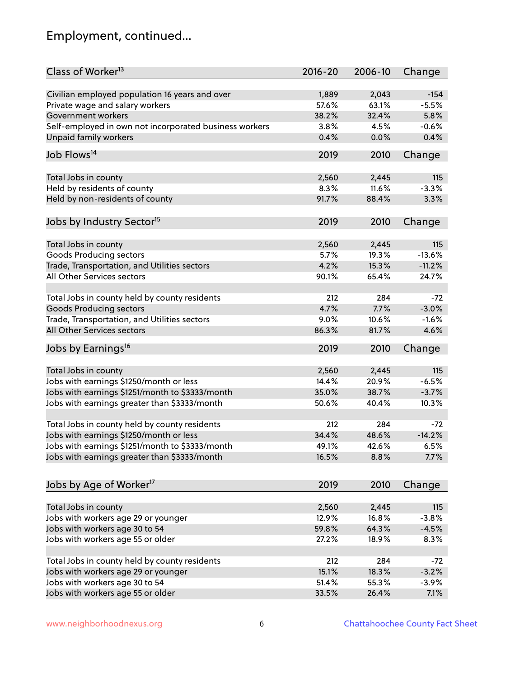# Employment, continued...

| Class of Worker <sup>13</sup>                          | $2016 - 20$ | 2006-10 | Change   |
|--------------------------------------------------------|-------------|---------|----------|
| Civilian employed population 16 years and over         | 1,889       | 2,043   | $-154$   |
| Private wage and salary workers                        | 57.6%       | 63.1%   | $-5.5%$  |
| Government workers                                     | 38.2%       | 32.4%   | 5.8%     |
| Self-employed in own not incorporated business workers | 3.8%        | 4.5%    | $-0.6%$  |
| <b>Unpaid family workers</b>                           | 0.4%        | 0.0%    | 0.4%     |
|                                                        |             |         |          |
| Job Flows <sup>14</sup>                                | 2019        | 2010    | Change   |
| Total Jobs in county                                   | 2,560       | 2,445   | 115      |
| Held by residents of county                            | 8.3%        | 11.6%   | $-3.3%$  |
| Held by non-residents of county                        | 91.7%       | 88.4%   | 3.3%     |
|                                                        |             |         |          |
| Jobs by Industry Sector <sup>15</sup>                  | 2019        | 2010    | Change   |
| Total Jobs in county                                   | 2,560       | 2,445   | 115      |
| Goods Producing sectors                                | 5.7%        | 19.3%   | $-13.6%$ |
| Trade, Transportation, and Utilities sectors           | 4.2%        | 15.3%   | $-11.2%$ |
| All Other Services sectors                             | 90.1%       | 65.4%   | 24.7%    |
|                                                        |             |         |          |
| Total Jobs in county held by county residents          | 212         | 284     | $-72$    |
| <b>Goods Producing sectors</b>                         | 4.7%        | 7.7%    | $-3.0%$  |
| Trade, Transportation, and Utilities sectors           | 9.0%        | 10.6%   | $-1.6%$  |
| All Other Services sectors                             | 86.3%       | 81.7%   | 4.6%     |
| Jobs by Earnings <sup>16</sup>                         | 2019        | 2010    | Change   |
|                                                        |             |         |          |
| Total Jobs in county                                   | 2,560       | 2,445   | 115      |
| Jobs with earnings \$1250/month or less                | 14.4%       | 20.9%   | $-6.5%$  |
| Jobs with earnings \$1251/month to \$3333/month        | 35.0%       | 38.7%   | $-3.7%$  |
| Jobs with earnings greater than \$3333/month           | 50.6%       | 40.4%   | 10.3%    |
| Total Jobs in county held by county residents          | 212         | 284     | $-72$    |
| Jobs with earnings \$1250/month or less                | 34.4%       | 48.6%   | $-14.2%$ |
| Jobs with earnings \$1251/month to \$3333/month        | 49.1%       | 42.6%   | 6.5%     |
| Jobs with earnings greater than \$3333/month           | 16.5%       | 8.8%    | 7.7%     |
|                                                        |             |         |          |
| Jobs by Age of Worker <sup>17</sup>                    | 2019        | 2010    | Change   |
|                                                        |             |         |          |
| Total Jobs in county                                   | 2,560       | 2,445   | 115      |
| Jobs with workers age 29 or younger                    | 12.9%       | 16.8%   | $-3.8%$  |
| Jobs with workers age 30 to 54                         | 59.8%       | 64.3%   | $-4.5%$  |
| Jobs with workers age 55 or older                      | 27.2%       | 18.9%   | 8.3%     |
| Total Jobs in county held by county residents          | 212         | 284     | $-72$    |
| Jobs with workers age 29 or younger                    | 15.1%       | 18.3%   | $-3.2%$  |
| Jobs with workers age 30 to 54                         | 51.4%       | 55.3%   | $-3.9%$  |
| Jobs with workers age 55 or older                      | 33.5%       | 26.4%   | 7.1%     |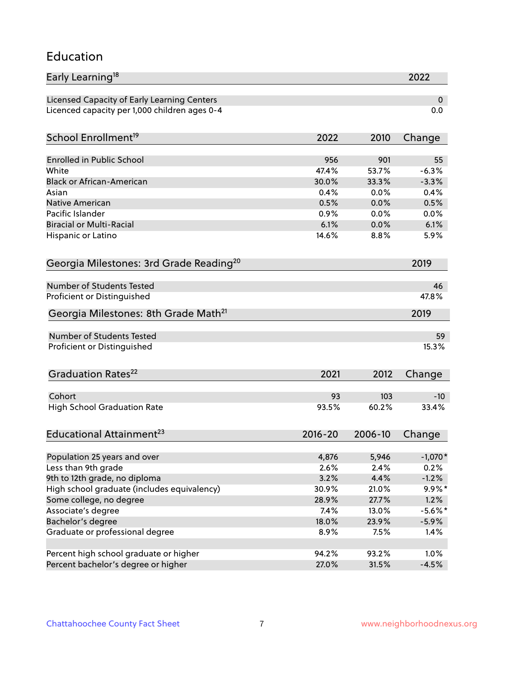#### Education

| Early Learning <sup>18</sup>                        |               |               | 2022              |
|-----------------------------------------------------|---------------|---------------|-------------------|
| Licensed Capacity of Early Learning Centers         |               |               | 0                 |
| Licenced capacity per 1,000 children ages 0-4       |               |               | 0.0               |
| School Enrollment <sup>19</sup>                     | 2022          | 2010          | Change            |
|                                                     |               |               |                   |
| <b>Enrolled in Public School</b>                    | 956           | 901           | 55                |
| White                                               | 47.4%         | 53.7%         | $-6.3%$           |
| <b>Black or African-American</b>                    | 30.0%         | 33.3%         | $-3.3%$           |
| Asian                                               | 0.4%          | 0.0%          | 0.4%              |
| Native American                                     | 0.5%          | 0.0%          | 0.5%              |
| Pacific Islander                                    | 0.9%          | 0.0%          | 0.0%              |
| <b>Biracial or Multi-Racial</b>                     | 6.1%          | 0.0%          | 6.1%              |
| Hispanic or Latino                                  | 14.6%         | 8.8%          | 5.9%              |
| Georgia Milestones: 3rd Grade Reading <sup>20</sup> |               |               | 2019              |
|                                                     |               |               |                   |
| <b>Number of Students Tested</b>                    |               |               | 46                |
| Proficient or Distinguished                         |               |               | 47.8%             |
| Georgia Milestones: 8th Grade Math <sup>21</sup>    |               |               | 2019              |
| <b>Number of Students Tested</b>                    |               |               | 59                |
| Proficient or Distinguished                         |               |               | 15.3%             |
|                                                     |               |               |                   |
| Graduation Rates <sup>22</sup>                      | 2021          | 2012          | Change            |
|                                                     |               |               |                   |
| Cohort                                              | 93<br>93.5%   | 103<br>60.2%  | $-10$<br>33.4%    |
| <b>High School Graduation Rate</b>                  |               |               |                   |
| Educational Attainment <sup>23</sup>                | $2016 - 20$   | 2006-10       | Change            |
|                                                     |               |               |                   |
| Population 25 years and over<br>Less than 9th grade | 4,876<br>2.6% | 5,946<br>2.4% | $-1,070*$<br>0.2% |
| 9th to 12th grade, no diploma                       | 3.2%          | 4.4%          | $-1.2%$           |
| High school graduate (includes equivalency)         | 30.9%         | 21.0%         | 9.9%*             |
| Some college, no degree                             | 28.9%         | 27.7%         | 1.2%              |
|                                                     |               |               |                   |
| Associate's degree                                  | 7.4%          | 13.0%         | $-5.6\%$ *        |
| Bachelor's degree                                   | 18.0%         | 23.9%         | $-5.9%$           |
| Graduate or professional degree                     | 8.9%          | 7.5%          | 1.4%              |
| Percent high school graduate or higher              | 94.2%         | 93.2%         | 1.0%              |
| Percent bachelor's degree or higher                 | 27.0%         | 31.5%         | $-4.5%$           |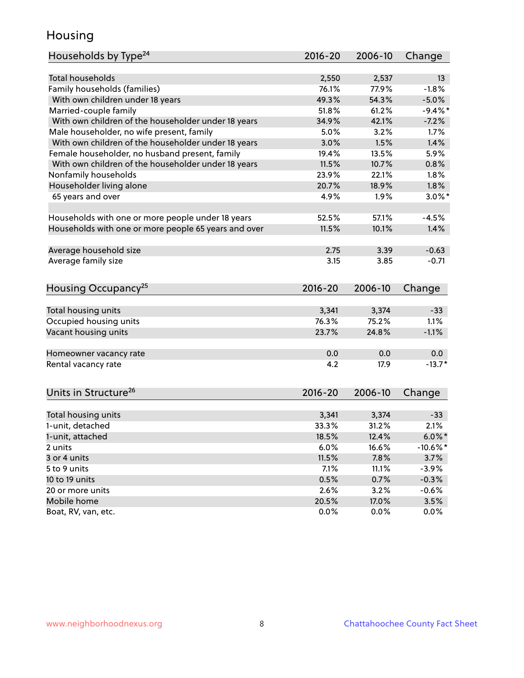### Housing

| Households by Type <sup>24</sup>                     | 2016-20     | 2006-10 | Change      |
|------------------------------------------------------|-------------|---------|-------------|
|                                                      |             |         |             |
| <b>Total households</b>                              | 2,550       | 2,537   | 13          |
| Family households (families)                         | 76.1%       | 77.9%   | $-1.8%$     |
| With own children under 18 years                     | 49.3%       | 54.3%   | $-5.0%$     |
| Married-couple family                                | 51.8%       | 61.2%   | $-9.4\%$ *  |
| With own children of the householder under 18 years  | 34.9%       | 42.1%   | $-7.2%$     |
| Male householder, no wife present, family            | 5.0%        | 3.2%    | 1.7%        |
| With own children of the householder under 18 years  | 3.0%        | 1.5%    | 1.4%        |
| Female householder, no husband present, family       | 19.4%       | 13.5%   | 5.9%        |
| With own children of the householder under 18 years  | 11.5%       | 10.7%   | 0.8%        |
| Nonfamily households                                 | 23.9%       | 22.1%   | 1.8%        |
| Householder living alone                             | 20.7%       | 18.9%   | 1.8%        |
| 65 years and over                                    | 4.9%        | 1.9%    | $3.0\%$ *   |
|                                                      |             |         |             |
| Households with one or more people under 18 years    | 52.5%       | 57.1%   | $-4.5%$     |
| Households with one or more people 65 years and over | 11.5%       | 10.1%   | 1.4%        |
|                                                      |             |         |             |
| Average household size                               | 2.75        | 3.39    | $-0.63$     |
| Average family size                                  | 3.15        | 3.85    | $-0.71$     |
|                                                      |             |         |             |
| Housing Occupancy <sup>25</sup>                      | $2016 - 20$ | 2006-10 | Change      |
|                                                      |             |         |             |
| Total housing units                                  | 3,341       | 3,374   | $-33$       |
| Occupied housing units                               | 76.3%       | 75.2%   | 1.1%        |
| Vacant housing units                                 | 23.7%       | 24.8%   | $-1.1%$     |
|                                                      |             |         |             |
| Homeowner vacancy rate                               | 0.0         | 0.0     | 0.0         |
| Rental vacancy rate                                  | 4.2         | 17.9    | $-13.7*$    |
|                                                      |             |         |             |
| Units in Structure <sup>26</sup>                     | 2016-20     | 2006-10 | Change      |
|                                                      |             |         |             |
| Total housing units                                  | 3,341       | 3,374   | $-33$       |
| 1-unit, detached                                     | 33.3%       | 31.2%   | 2.1%        |
| 1-unit, attached                                     | 18.5%       | 12.4%   | $6.0\%$ *   |
| 2 units                                              | 6.0%        | 16.6%   | $-10.6\%$ * |
| 3 or 4 units                                         | 11.5%       | 7.8%    | 3.7%        |
| 5 to 9 units                                         | 7.1%        | 11.1%   | $-3.9%$     |
| 10 to 19 units                                       | 0.5%        | 0.7%    | $-0.3%$     |
| 20 or more units                                     | 2.6%        | 3.2%    | $-0.6%$     |
| Mobile home                                          | 20.5%       | 17.0%   | 3.5%        |
| Boat, RV, van, etc.                                  | 0.0%        | 0.0%    | $0.0\%$     |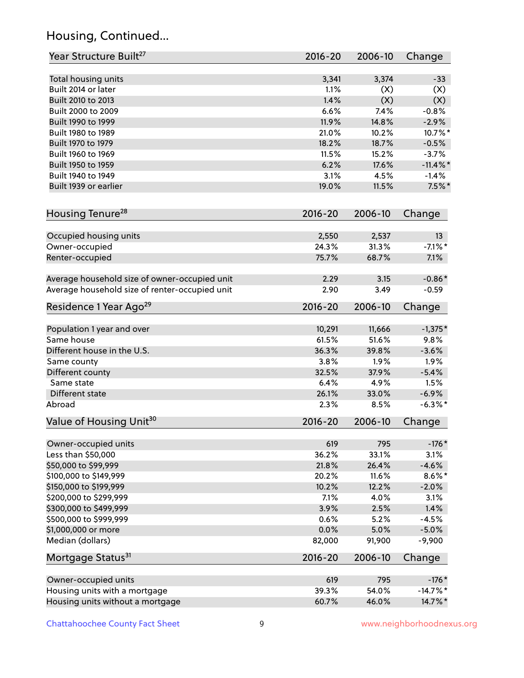# Housing, Continued...

| Year Structure Built <sup>27</sup>             | 2016-20     | 2006-10 | Change      |
|------------------------------------------------|-------------|---------|-------------|
| Total housing units                            | 3,341       | 3,374   | $-33$       |
| Built 2014 or later                            | 1.1%        | (X)     | (X)         |
| Built 2010 to 2013                             | 1.4%        | (X)     | (X)         |
| Built 2000 to 2009                             | 6.6%        | 7.4%    | $-0.8%$     |
| Built 1990 to 1999                             | 11.9%       | 14.8%   | $-2.9%$     |
| Built 1980 to 1989                             | 21.0%       | 10.2%   | 10.7%*      |
| Built 1970 to 1979                             | 18.2%       | 18.7%   | $-0.5%$     |
| Built 1960 to 1969                             | 11.5%       | 15.2%   | $-3.7%$     |
| Built 1950 to 1959                             | 6.2%        | 17.6%   | $-11.4\%$ * |
| Built 1940 to 1949                             | 3.1%        | 4.5%    | $-1.4%$     |
| Built 1939 or earlier                          | 19.0%       | 11.5%   | $7.5\%$ *   |
|                                                |             |         |             |
| Housing Tenure <sup>28</sup>                   | $2016 - 20$ | 2006-10 | Change      |
| Occupied housing units                         | 2,550       | 2,537   | 13          |
| Owner-occupied                                 | 24.3%       | 31.3%   | $-7.1\%$ *  |
| Renter-occupied                                | 75.7%       | 68.7%   | 7.1%        |
| Average household size of owner-occupied unit  | 2.29        | 3.15    | $-0.86*$    |
| Average household size of renter-occupied unit | 2.90        | 3.49    | $-0.59$     |
| Residence 1 Year Ago <sup>29</sup>             | 2016-20     | 2006-10 | Change      |
| Population 1 year and over                     | 10,291      | 11,666  | $-1,375*$   |
| Same house                                     | 61.5%       | 51.6%   | 9.8%        |
| Different house in the U.S.                    | 36.3%       | 39.8%   | $-3.6%$     |
| Same county                                    | 3.8%        | 1.9%    | 1.9%        |
| Different county                               | 32.5%       | 37.9%   | $-5.4%$     |
| Same state                                     | 6.4%        | 4.9%    | 1.5%        |
| Different state                                | 26.1%       | 33.0%   | $-6.9%$     |
| Abroad                                         | 2.3%        | 8.5%    | $-6.3\%$ *  |
| Value of Housing Unit <sup>30</sup>            | 2016-20     | 2006-10 | Change      |
|                                                |             |         |             |
| Owner-occupied units                           | 619         | 795     | $-176*$     |
| Less than \$50,000                             | 36.2%       | 33.1%   | 3.1%        |
| \$50,000 to \$99,999                           | 21.8%       | 26.4%   | $-4.6%$     |
| \$100,000 to \$149,999                         | 20.2%       | 11.6%   | $8.6\%$ *   |
| \$150,000 to \$199,999                         | 10.2%       | 12.2%   | $-2.0%$     |
| \$200,000 to \$299,999                         | 7.1%        | 4.0%    | 3.1%        |
| \$300,000 to \$499,999                         | 3.9%        | 2.5%    | 1.4%        |
| \$500,000 to \$999,999                         | 0.6%        | 5.2%    | $-4.5%$     |
| \$1,000,000 or more                            | 0.0%        | 5.0%    | $-5.0%$     |
| Median (dollars)                               | 82,000      | 91,900  | $-9,900$    |
| Mortgage Status <sup>31</sup>                  | $2016 - 20$ | 2006-10 | Change      |
| Owner-occupied units                           | 619         | 795     | $-176*$     |
| Housing units with a mortgage                  | 39.3%       | 54.0%   | $-14.7%$ *  |
| Housing units without a mortgage               | 60.7%       | 46.0%   | 14.7%*      |
|                                                |             |         |             |

Chattahoochee County Fact Sheet 9 9 9 www.neighborhoodnexus.org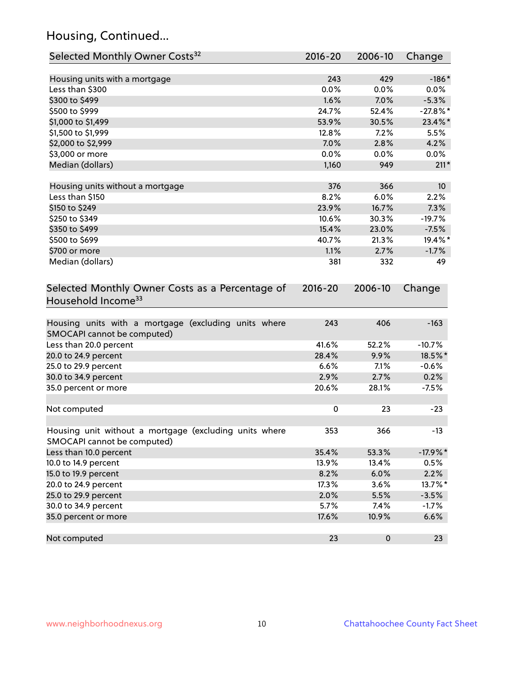# Housing, Continued...

| Selected Monthly Owner Costs <sup>32</sup>                                            | 2016-20   | 2006-10   | Change          |
|---------------------------------------------------------------------------------------|-----------|-----------|-----------------|
| Housing units with a mortgage                                                         | 243       | 429       | $-186*$         |
| Less than \$300                                                                       | 0.0%      | 0.0%      | $0.0\%$         |
| \$300 to \$499                                                                        | 1.6%      | 7.0%      | $-5.3%$         |
| \$500 to \$999                                                                        | 24.7%     | 52.4%     | $-27.8\%$ *     |
| \$1,000 to \$1,499                                                                    | 53.9%     | 30.5%     | 23.4%*          |
| \$1,500 to \$1,999                                                                    | 12.8%     | 7.2%      | 5.5%            |
| \$2,000 to \$2,999                                                                    | 7.0%      | 2.8%      | 4.2%            |
| \$3,000 or more                                                                       | 0.0%      | 0.0%      | $0.0\%$         |
| Median (dollars)                                                                      | 1,160     | 949       | $211*$          |
| Housing units without a mortgage                                                      | 376       | 366       | 10 <sup>°</sup> |
| Less than \$150                                                                       | 8.2%      | 6.0%      | 2.2%            |
| \$150 to \$249                                                                        | 23.9%     | 16.7%     | 7.3%            |
| \$250 to \$349                                                                        | 10.6%     | 30.3%     | $-19.7%$        |
| \$350 to \$499                                                                        | 15.4%     | 23.0%     | $-7.5%$         |
| \$500 to \$699                                                                        | 40.7%     | 21.3%     | 19.4%*          |
| \$700 or more                                                                         | 1.1%      | 2.7%      | $-1.7%$         |
| Median (dollars)                                                                      | 381       | 332       | 49              |
| Selected Monthly Owner Costs as a Percentage of<br>Household Income <sup>33</sup>     |           |           | Change          |
| Housing units with a mortgage (excluding units where<br>SMOCAPI cannot be computed)   | 243       | 406       | $-163$          |
| Less than 20.0 percent                                                                | 41.6%     | 52.2%     | $-10.7%$        |
| 20.0 to 24.9 percent                                                                  | 28.4%     | 9.9%      | 18.5%*          |
| 25.0 to 29.9 percent                                                                  | 6.6%      | 7.1%      | $-0.6%$         |
| 30.0 to 34.9 percent                                                                  | 2.9%      | 2.7%      | 0.2%            |
| 35.0 percent or more                                                                  | 20.6%     | 28.1%     | $-7.5%$         |
| Not computed                                                                          | $\pmb{0}$ | 23        | $-23$           |
| Housing unit without a mortgage (excluding units where<br>SMOCAPI cannot be computed) | 353       | 366       | $-13$           |
| Less than 10.0 percent                                                                | 35.4%     | 53.3%     | $-17.9%$ *      |
| 10.0 to 14.9 percent                                                                  | 13.9%     | 13.4%     | 0.5%            |
| 15.0 to 19.9 percent                                                                  | 8.2%      | 6.0%      | 2.2%            |
| 20.0 to 24.9 percent                                                                  | 17.3%     | 3.6%      | 13.7%*          |
| 25.0 to 29.9 percent                                                                  | 2.0%      | 5.5%      | $-3.5%$         |
| 30.0 to 34.9 percent                                                                  | 5.7%      | 7.4%      | $-1.7%$         |
| 35.0 percent or more                                                                  | 17.6%     | 10.9%     | 6.6%            |
| Not computed                                                                          | 23        | $\pmb{0}$ | 23              |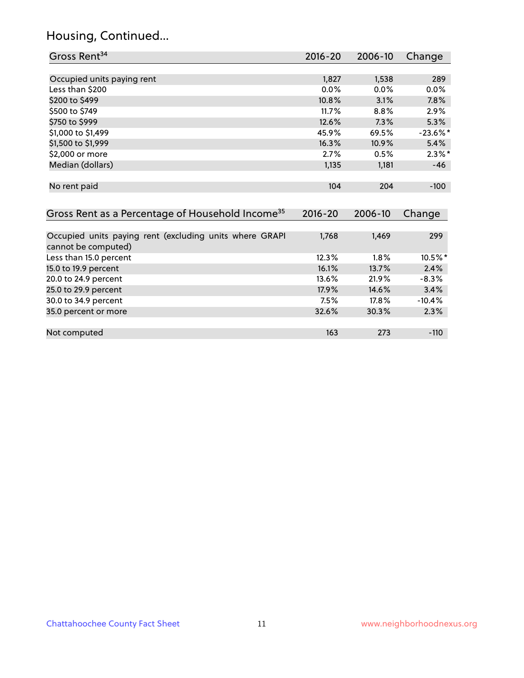# Housing, Continued...

| Gross Rent <sup>34</sup>                                                       | $2016 - 20$ | 2006-10 | Change      |
|--------------------------------------------------------------------------------|-------------|---------|-------------|
|                                                                                |             |         |             |
| Occupied units paying rent                                                     | 1,827       | 1,538   | 289         |
| Less than \$200                                                                | 0.0%        | $0.0\%$ | 0.0%        |
| \$200 to \$499                                                                 | 10.8%       | 3.1%    | 7.8%        |
| \$500 to \$749                                                                 | 11.7%       | 8.8%    | 2.9%        |
| \$750 to \$999                                                                 | 12.6%       | 7.3%    | 5.3%        |
| \$1,000 to \$1,499                                                             | 45.9%       | 69.5%   | $-23.6\%$ * |
| \$1,500 to \$1,999                                                             | 16.3%       | 10.9%   | 5.4%        |
| \$2,000 or more                                                                | 2.7%        | 0.5%    | $2.3\%$ *   |
| Median (dollars)                                                               | 1,135       | 1,181   | $-46$       |
| No rent paid                                                                   | 104         | 204     | $-100$      |
| Gross Rent as a Percentage of Household Income <sup>35</sup>                   | $2016 - 20$ | 2006-10 | Change      |
| Occupied units paying rent (excluding units where GRAPI<br>cannot be computed) | 1,768       | 1,469   | 299         |
| Less than 15.0 percent                                                         | 12.3%       | 1.8%    | 10.5%*      |
| 15.0 to 19.9 percent                                                           | 16.1%       | 13.7%   | 2.4%        |
| 20.0 to 24.9 percent                                                           | 13.6%       | 21.9%   | $-8.3%$     |
| 25.0 to 29.9 percent                                                           | 17.9%       | 14.6%   | 3.4%        |
| 30.0 to 34.9 percent                                                           | 7.5%        | 17.8%   | $-10.4%$    |
| 35.0 percent or more                                                           | 32.6%       | 30.3%   | 2.3%        |

Not computed and the computed computed in the computed of the computed in the computed in the computed in the computed in the computed in the computed in the computed in the computed in the computed in the computed in the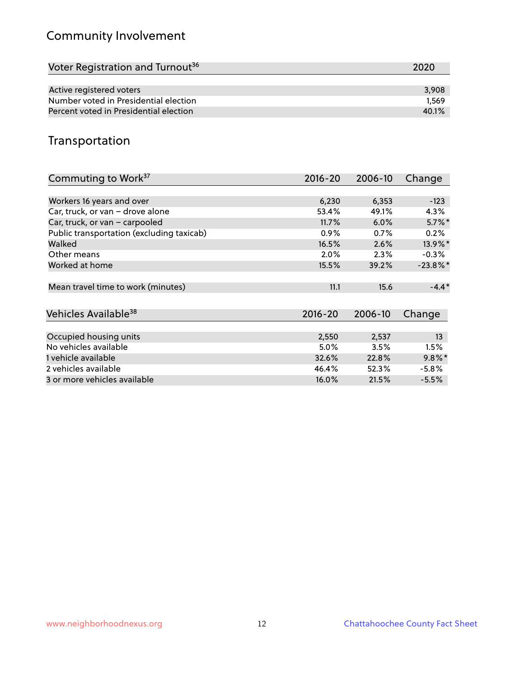# Community Involvement

| 2020  |
|-------|
|       |
| 3,908 |
| 1.569 |
| 40.1% |
|       |

## Transportation

| Commuting to Work <sup>37</sup>           | 2016-20     | 2006-10 | Change      |
|-------------------------------------------|-------------|---------|-------------|
|                                           |             |         |             |
| Workers 16 years and over                 | 6,230       | 6,353   | $-123$      |
| Car, truck, or van - drove alone          | 53.4%       | 49.1%   | $4.3\%$     |
| Car, truck, or van - carpooled            | 11.7%       | 6.0%    | $5.7\%$ *   |
| Public transportation (excluding taxicab) | 0.9%        | 0.7%    | 0.2%        |
| Walked                                    | 16.5%       | 2.6%    | 13.9%*      |
| Other means                               | 2.0%        | 2.3%    | $-0.3\%$    |
| Worked at home                            | 15.5%       | 39.2%   | $-23.8\%$ * |
| Mean travel time to work (minutes)        | 11.1        | 15.6    | $-4.4*$     |
| Vehicles Available <sup>38</sup>          | $2016 - 20$ | 2006-10 | Change      |
|                                           |             |         |             |
| Occupied housing units                    | 2,550       | 2,537   | 13          |
| No vehicles available                     | 5.0%        | 3.5%    | 1.5%        |
| 1 vehicle available                       | 32.6%       | 22.8%   | $9.8\%$ *   |
| 2 vehicles available                      | 46.4%       | 52.3%   | $-5.8%$     |
| 3 or more vehicles available              | 16.0%       | 21.5%   | $-5.5%$     |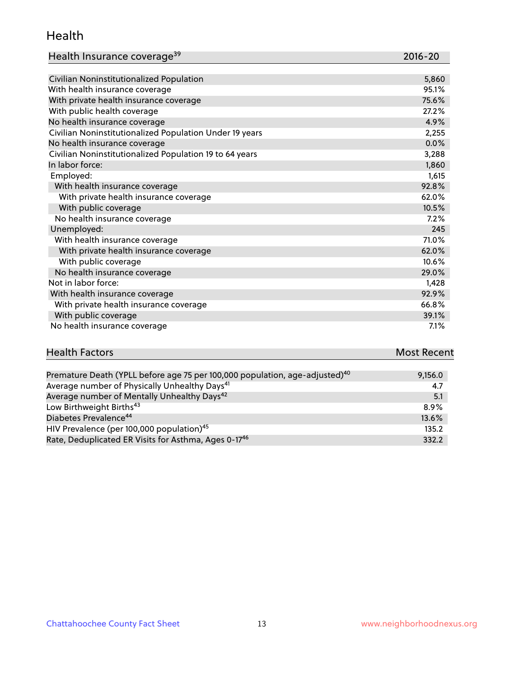#### Health

| Health Insurance coverage <sup>39</sup> | 2016-20 |
|-----------------------------------------|---------|
|-----------------------------------------|---------|

| Civilian Noninstitutionalized Population                | 5,860 |
|---------------------------------------------------------|-------|
| With health insurance coverage                          | 95.1% |
| With private health insurance coverage                  | 75.6% |
| With public health coverage                             | 27.2% |
| No health insurance coverage                            | 4.9%  |
| Civilian Noninstitutionalized Population Under 19 years | 2,255 |
| No health insurance coverage                            | 0.0%  |
| Civilian Noninstitutionalized Population 19 to 64 years | 3,288 |
| In labor force:                                         | 1,860 |
| Employed:                                               | 1,615 |
| With health insurance coverage                          | 92.8% |
| With private health insurance coverage                  | 62.0% |
| With public coverage                                    | 10.5% |
| No health insurance coverage                            | 7.2%  |
| Unemployed:                                             | 245   |
| With health insurance coverage                          | 71.0% |
| With private health insurance coverage                  | 62.0% |
| With public coverage                                    | 10.6% |
| No health insurance coverage                            | 29.0% |
| Not in labor force:                                     | 1,428 |
| With health insurance coverage                          | 92.9% |
| With private health insurance coverage                  | 66.8% |
| With public coverage                                    | 39.1% |
| No health insurance coverage                            | 7.1%  |

| <b>Health Factors</b> | <b>Most Recent</b> |
|-----------------------|--------------------|
|                       |                    |

| Premature Death (YPLL before age 75 per 100,000 population, age-adjusted) <sup>40</sup> | 9,156.0 |
|-----------------------------------------------------------------------------------------|---------|
| Average number of Physically Unhealthy Days <sup>41</sup>                               | 4.7     |
| Average number of Mentally Unhealthy Days <sup>42</sup>                                 | 5.1     |
| Low Birthweight Births <sup>43</sup>                                                    | $8.9\%$ |
| Diabetes Prevalence <sup>44</sup>                                                       | 13.6%   |
| HIV Prevalence (per 100,000 population) <sup>45</sup>                                   | 135.2   |
| Rate, Deduplicated ER Visits for Asthma, Ages 0-17 <sup>46</sup>                        | 332.2   |